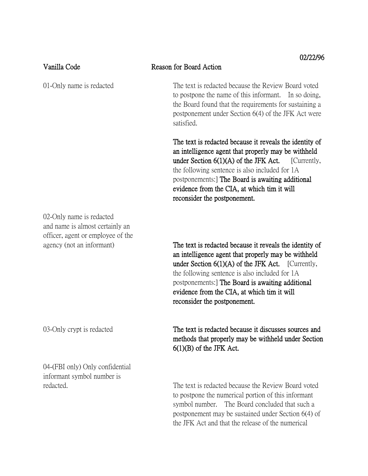| Vanilla Code                                                                                                                  | V44470<br>Reason for Board Action                                                                                                                                                                                                                                                                                                                          |
|-------------------------------------------------------------------------------------------------------------------------------|------------------------------------------------------------------------------------------------------------------------------------------------------------------------------------------------------------------------------------------------------------------------------------------------------------------------------------------------------------|
| 01-Only name is redacted                                                                                                      | The text is redacted because the Review Board voted<br>to postpone the name of this informant. In so doing,<br>the Board found that the requirements for sustaining a<br>postponement under Section 6(4) of the JFK Act were<br>satisfied.                                                                                                                 |
|                                                                                                                               | The text is redacted because it reveals the identity of<br>an intelligence agent that properly may be withheld<br>under Section $6(1)(A)$ of the JFK Act. [Currently,<br>the following sentence is also included for 1A.<br>postponements: The Board is awaiting additional<br>evidence from the CIA, at which tim it will<br>reconsider the postponement. |
| 02-Only name is redacted<br>and name is almost certainly an<br>officer, agent or employee of the<br>agency (not an informant) | The text is redacted because it reveals the identity of                                                                                                                                                                                                                                                                                                    |
|                                                                                                                               | an intelligence agent that properly may be withheld<br>under Section $6(1)(A)$ of the JFK Act. [Currently,<br>the following sentence is also included for 1A.<br>postponements: The Board is awaiting additional<br>evidence from the CIA, at which tim it will<br>reconsider the postponement.                                                            |
| 03-Only crypt is redacted                                                                                                     | The text is redacted because it discusses sources and<br>methods that properly may be withheld under Section<br>$6(1)(B)$ of the JFK Act.                                                                                                                                                                                                                  |
| 04-(FBI only) Only confidential<br>informant symbol number is                                                                 |                                                                                                                                                                                                                                                                                                                                                            |

redacted. The text is redacted because the Review Board voted to postpone the numerical portion of this informant symbol number. The Board concluded that such a postponement may be sustained under Section 6(4) of the JFK Act and that the release of the numerical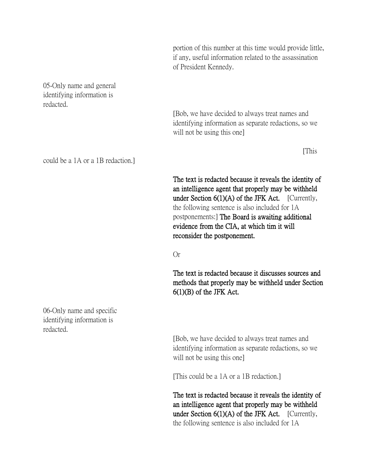portion of this number at this time would provide little, if any, useful information related to the assassination of President Kennedy.

[Bob, we have decided to always treat names and identifying information as separate redactions, so we

will not be using this one]

[This

The text is redacted because it reveals the identity of an intelligence agent that properly may be withheld under Section 6(1)(A) of the JFK Act. [Currently, the following sentence is also included for 1A postponements:] The Board is awaiting additional evidence from the CIA, at which tim it will reconsider the postponement.

Or

The text is redacted because it discusses sources and methods that properly may be withheld under Section  $6(1)(B)$  of the JFK Act.

[Bob, we have decided to always treat names and identifying information as separate redactions, so we will not be using this one]

[This could be a 1A or a 1B redaction.]

The text is redacted because it reveals the identity of an intelligence agent that properly may be withheld under Section 6(1)(A) of the JFK Act. [Currently, the following sentence is also included for 1A

05-Only name and general identifying information is redacted.

could be a 1A or a 1B redaction.]

06-Only name and specific identifying information is redacted.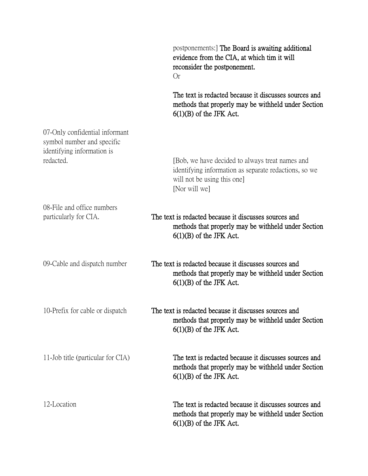|                                                                                            | postponements: The Board is awaiting additional<br>evidence from the CIA, at which tim it will<br>reconsider the postponement.<br><b>Or</b>              |
|--------------------------------------------------------------------------------------------|----------------------------------------------------------------------------------------------------------------------------------------------------------|
|                                                                                            | The text is redacted because it discusses sources and<br>methods that properly may be withheld under Section<br>$6(1)(B)$ of the JFK Act.                |
| 07-Only confidential informant<br>symbol number and specific<br>identifying information is |                                                                                                                                                          |
| redacted.                                                                                  | [Bob, we have decided to always treat names and<br>identifying information as separate redactions, so we<br>will not be using this one.<br>[Nor will we] |
| 08-File and office numbers<br>particularly for CIA.                                        | The text is redacted because it discusses sources and<br>methods that properly may be withheld under Section<br>$6(1)(B)$ of the JFK Act.                |
| 09-Cable and dispatch number                                                               | The text is redacted because it discusses sources and<br>methods that properly may be withheld under Section<br>$6(1)(B)$ of the JFK Act.                |
| 10-Prefix for cable or dispatch                                                            | The text is redacted because it discusses sources and<br>methods that properly may be withheld under Section<br>$6(1)(B)$ of the JFK Act.                |
| 11-Job title (particular for CIA)                                                          | The text is redacted because it discusses sources and<br>methods that properly may be withheld under Section<br>$6(1)(B)$ of the JFK Act.                |
| 12-Location                                                                                | The text is redacted because it discusses sources and<br>methods that properly may be withheld under Section<br>$6(1)(B)$ of the JFK Act.                |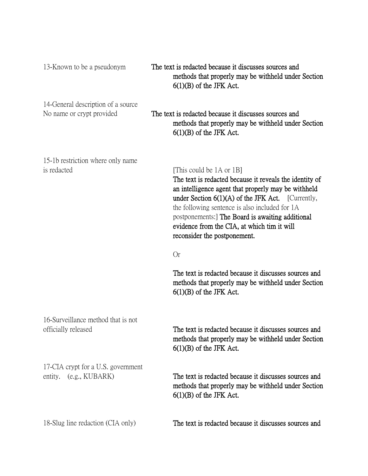| 13-Known to be a pseudonym                                      | The text is redacted because it discusses sources and<br>methods that properly may be withheld under Section<br>$6(1)(B)$ of the JFK Act.                                                                                                                                                                                                                                                   |
|-----------------------------------------------------------------|---------------------------------------------------------------------------------------------------------------------------------------------------------------------------------------------------------------------------------------------------------------------------------------------------------------------------------------------------------------------------------------------|
| 14-General description of a source<br>No name or crypt provided | The text is redacted because it discusses sources and<br>methods that properly may be withheld under Section<br>$6(1)(B)$ of the JFK Act.                                                                                                                                                                                                                                                   |
| 15-1b restriction where only name<br>is redacted                | [This could be 1A or 1B]<br>The text is redacted because it reveals the identity of<br>an intelligence agent that properly may be withheld<br>under Section $6(1)(A)$ of the JFK Act. [Currently,<br>the following sentence is also included for 1A<br>postponements: The Board is awaiting additional<br>evidence from the CIA, at which tim it will<br>reconsider the postponement.<br>Or |
|                                                                 | The text is redacted because it discusses sources and<br>methods that properly may be withheld under Section<br>$6(1)(B)$ of the JFK Act.                                                                                                                                                                                                                                                   |
| 16-Surveillance method that is not<br>officially released       | The text is redacted because it discusses sources and<br>methods that properly may be withheld under Section<br>$6(1)(B)$ of the JFK Act.                                                                                                                                                                                                                                                   |
| 17-CIA crypt for a U.S. government<br>entity. (e.g., KUBARK)    | The text is redacted because it discusses sources and<br>methods that properly may be withheld under Section<br>$6(1)(B)$ of the JFK Act.                                                                                                                                                                                                                                                   |
| 18-Slug line redaction (CIA only)                               | The text is redacted because it discusses sources and                                                                                                                                                                                                                                                                                                                                       |